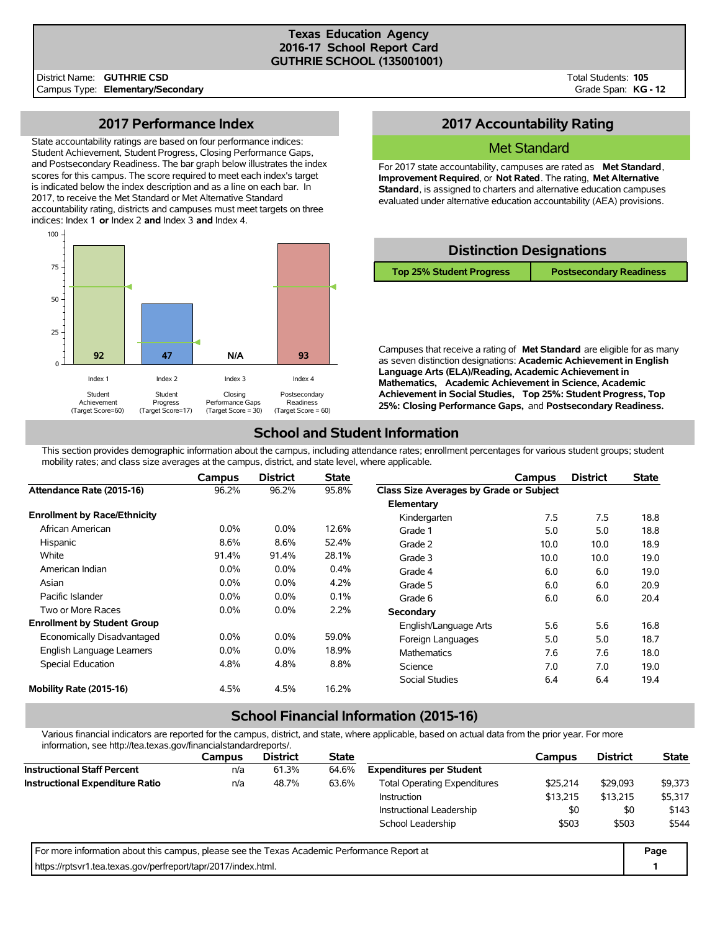### **Texas Education Agency 2016-17 School Report Card GUTHRIE SCHOOL (135001001)**

Total Students: **105** Grade Span: **KG - 12**

### **2017 Performance Index**

State accountability ratings are based on four performance indices: Student Achievement, Student Progress, Closing Performance Gaps, and Postsecondary Readiness. The bar graph below illustrates the index scores for this campus. The score required to meet each index's target is indicated below the index description and as a line on each bar. In 2017, to receive the Met Standard or Met Alternative Standard accountability rating, districts and campuses must meet targets on three indices: Index 1 **or** Index 2 **and** Index 3 **and** Index 4.



## **2017 Accountability Rating**

### Met Standard

For 2017 state accountability, campuses are rated as **Met Standard**, **Improvement Required**, or **Not Rated**. The rating, **Met Alternative Standard**, is assigned to charters and alternative education campuses evaluated under alternative education accountability (AEA) provisions.

| <b>Distinction Designations</b> |                                |  |  |  |  |  |  |  |  |  |
|---------------------------------|--------------------------------|--|--|--|--|--|--|--|--|--|
| <b>Top 25% Student Progress</b> | <b>Postsecondary Readiness</b> |  |  |  |  |  |  |  |  |  |
|                                 |                                |  |  |  |  |  |  |  |  |  |

Campuses that receive a rating of **Met Standard** are eligible for as many as seven distinction designations: **Academic Achievement in English Language Arts (ELA)/Reading, Academic Achievement in Mathematics, Academic Achievement in Science, Academic Achievement in Social Studies, Top 25%: Student Progress, Top 25%: Closing Performance Gaps,** and **Postsecondary Readiness.**

# **School and Student Information**

This section provides demographic information about the campus, including attendance rates; enrollment percentages for various student groups; student mobility rates; and class size averages at the campus, district, and state level, where applicable.

|                                     | Campus  | <b>District</b> | <b>State</b> |                                         | Campus | <b>District</b> | <b>State</b> |
|-------------------------------------|---------|-----------------|--------------|-----------------------------------------|--------|-----------------|--------------|
| Attendance Rate (2015-16)           | 96.2%   | 96.2%           | 95.8%        | Class Size Averages by Grade or Subject |        |                 |              |
|                                     |         |                 |              | Elementary                              |        |                 |              |
| <b>Enrollment by Race/Ethnicity</b> |         |                 |              | Kindergarten                            | 7.5    | 7.5             | 18.8         |
| African American                    | $0.0\%$ | $0.0\%$         | 12.6%        | Grade 1                                 | 5.0    | 5.0             | 18.8         |
| Hispanic                            | 8.6%    | 8.6%            | 52.4%        | Grade 2                                 | 10.0   | 10.0            | 18.9         |
| White                               | 91.4%   | 91.4%           | 28.1%        | Grade 3                                 | 10.0   | 10.0            | 19.0         |
| American Indian                     | $0.0\%$ | $0.0\%$         | 0.4%         | Grade 4                                 | 6.0    | 6.0             | 19.0         |
| Asian                               | $0.0\%$ | 0.0%            | 4.2%         | Grade 5                                 | 6.0    | 6.0             | 20.9         |
| Pacific Islander                    | $0.0\%$ | 0.0%            | 0.1%         | Grade 6                                 | 6.0    | 6.0             | 20.4         |
| Two or More Races                   | $0.0\%$ | $0.0\%$         | 2.2%         | Secondary                               |        |                 |              |
| <b>Enrollment by Student Group</b>  |         |                 |              | English/Language Arts                   | 5.6    | 5.6             | 16.8         |
| Economically Disadvantaged          | $0.0\%$ | 0.0%            | 59.0%        | Foreign Languages                       | 5.0    | 5.0             | 18.7         |
| English Language Learners           | $0.0\%$ | 0.0%            | 18.9%        | <b>Mathematics</b>                      | 7.6    | 7.6             | 18.0         |
| Special Education                   | 4.8%    | 4.8%            | 8.8%         | Science                                 | 7.0    | 7.0             | 19.0         |
|                                     |         |                 |              | Social Studies                          | 6.4    | 6.4             | 19.4         |
| Mobility Rate (2015-16)             | 4.5%    | 4.5%            | 16.2%        |                                         |        |                 |              |

# **School Financial Information (2015-16)**

Various financial indicators are reported for the campus, district, and state, where applicable, based on actual data from the prior year. For more information, see http://tea.texas.gov/financialstandardreports/.

| in ion nation, bee mup, neatexab.gov/illianciablanaarareports/.                             |        |                 |              |                                     |          |                 |              |  |
|---------------------------------------------------------------------------------------------|--------|-----------------|--------------|-------------------------------------|----------|-----------------|--------------|--|
|                                                                                             | Campus | <b>District</b> | <b>State</b> |                                     | Campus   | <b>District</b> | <b>State</b> |  |
| <b>Instructional Staff Percent</b>                                                          | n/a    | 61.3%           | 64.6%        | <b>Expenditures per Student</b>     |          |                 |              |  |
| <b>Instructional Expenditure Ratio</b>                                                      | n/a    | 48.7%           | 63.6%        | <b>Total Operating Expenditures</b> | \$29,093 | \$9,373         |              |  |
|                                                                                             |        |                 |              | <b>Instruction</b>                  | \$13,215 | \$13.215        | \$5,317      |  |
|                                                                                             |        |                 |              | Instructional Leadership            | \$0      | \$0             | \$143        |  |
|                                                                                             |        |                 |              | School Leadership                   | \$503    | \$503           | \$544        |  |
| For more information about this campus, please see the Texas Academic Performance Report at |        |                 |              |                                     |          |                 |              |  |
| https://rptsvr1.tea.texas.gov/perfreport/tapr/2017/index.html.                              |        |                 |              |                                     |          |                 |              |  |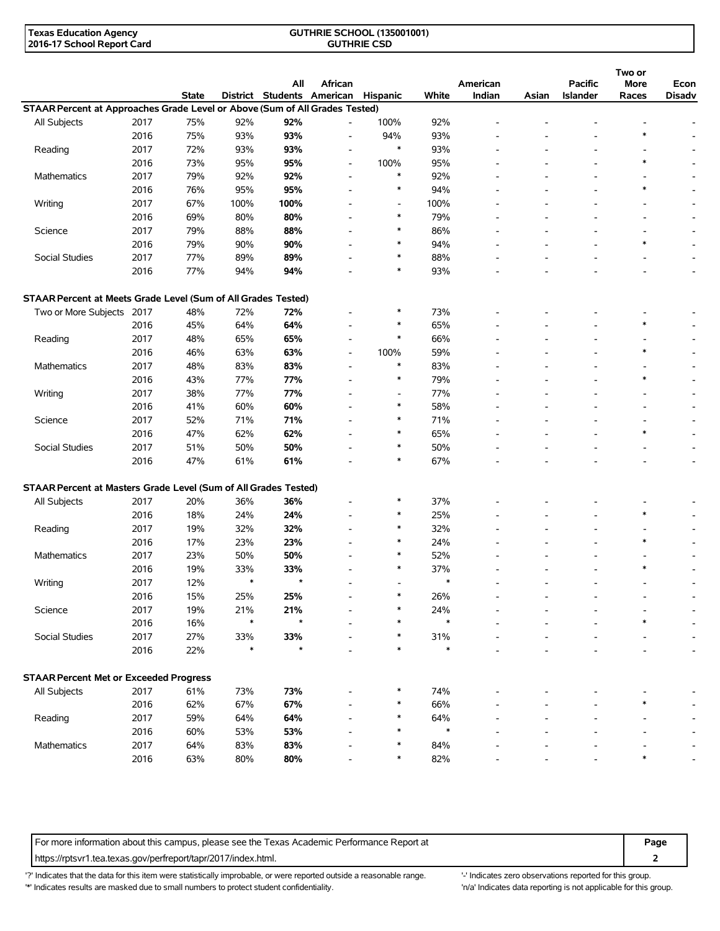| <b>Texas Education Agency</b> | <b>GUTHRIE SCHOOL (135001001)</b> |  |
|-------------------------------|-----------------------------------|--|
| 2016-17 School Report Card    | <b>GUTHRIE CSD</b>                |  |

|                                                                                                                                                                                                                                                                                                                                                                |      |              |        | All                        | African                  |                          |        | American                 |       | <b>Pacific</b>  | Two or<br>More           | Econ                     |
|----------------------------------------------------------------------------------------------------------------------------------------------------------------------------------------------------------------------------------------------------------------------------------------------------------------------------------------------------------------|------|--------------|--------|----------------------------|--------------------------|--------------------------|--------|--------------------------|-------|-----------------|--------------------------|--------------------------|
|                                                                                                                                                                                                                                                                                                                                                                |      | <b>State</b> |        | District Students American |                          | <b>Hispanic</b>          | White  | Indian                   | Asian | <b>Islander</b> | Races                    | <b>Disadv</b>            |
|                                                                                                                                                                                                                                                                                                                                                                | 2017 | 75%          | 92%    | 92%                        | $\overline{a}$           | 100%                     | 92%    |                          |       |                 |                          |                          |
|                                                                                                                                                                                                                                                                                                                                                                |      |              |        |                            |                          | 94%                      |        |                          |       |                 | $\ast$                   |                          |
|                                                                                                                                                                                                                                                                                                                                                                | 2016 | 75%          | 93%    | 93%                        | $\blacksquare$           | $\ast$                   | 93%    |                          |       |                 |                          |                          |
|                                                                                                                                                                                                                                                                                                                                                                | 2017 | 72%          | 93%    | 93%                        | $\overline{a}$           |                          | 93%    |                          |       |                 | $\ast$                   |                          |
| STAAR Percent at Approaches Grade Level or Above (Sum of All Grades Tested)<br>All Subjects<br>Reading<br>Mathematics<br>Writing<br>Science<br>Social Studies<br>Reading<br>Mathematics<br>Writing<br>Science<br>Social Studies<br>STAAR Percent at Masters Grade Level (Sum of All Grades Tested)<br>All Subjects<br>Reading<br><b>Mathematics</b><br>Writing | 2016 | 73%          | 95%    | 95%                        | $\overline{\phantom{a}}$ | 100%<br>$\ast$           | 95%    |                          |       |                 |                          |                          |
|                                                                                                                                                                                                                                                                                                                                                                | 2017 | 79%          | 92%    | 92%                        | $\overline{a}$           | $\ast$                   | 92%    |                          |       |                 | $\ast$                   |                          |
|                                                                                                                                                                                                                                                                                                                                                                | 2016 | 76%          | 95%    | 95%                        | $\overline{a}$           |                          | 94%    |                          |       |                 |                          |                          |
|                                                                                                                                                                                                                                                                                                                                                                | 2017 | 67%          | 100%   | 100%                       | $\overline{a}$           |                          | 100%   |                          |       |                 | $\overline{a}$           |                          |
|                                                                                                                                                                                                                                                                                                                                                                | 2016 | 69%          | 80%    | 80%                        |                          | $\ast$                   | 79%    |                          |       |                 |                          |                          |
|                                                                                                                                                                                                                                                                                                                                                                | 2017 | 79%          | 88%    | 88%                        |                          | ∗                        | 86%    |                          |       |                 |                          |                          |
|                                                                                                                                                                                                                                                                                                                                                                | 2016 | 79%          | 90%    | 90%                        | $\overline{a}$           | ∗                        | 94%    |                          |       |                 | $\ast$                   |                          |
|                                                                                                                                                                                                                                                                                                                                                                | 2017 | 77%          | 89%    | 89%                        | $\overline{\phantom{a}}$ | ∗                        | 88%    | $\overline{\phantom{a}}$ |       | ٠               | $\overline{\phantom{0}}$ | $\overline{\phantom{a}}$ |
|                                                                                                                                                                                                                                                                                                                                                                | 2016 | 77%          | 94%    | 94%                        |                          | $\ast$                   | 93%    |                          |       |                 |                          |                          |
| STAAR Percent at Meets Grade Level (Sum of All Grades Tested)                                                                                                                                                                                                                                                                                                  |      |              |        |                            |                          |                          |        |                          |       |                 |                          |                          |
| Two or More Subjects 2017                                                                                                                                                                                                                                                                                                                                      |      | 48%          | 72%    | 72%                        | $\overline{a}$           | *                        | 73%    |                          |       |                 |                          |                          |
|                                                                                                                                                                                                                                                                                                                                                                | 2016 | 45%          | 64%    | 64%                        | $\overline{\phantom{a}}$ | ∗                        | 65%    |                          |       |                 | $\ast$                   |                          |
|                                                                                                                                                                                                                                                                                                                                                                | 2017 | 48%          | 65%    | 65%                        | $\overline{\phantom{a}}$ | $\ast$                   | 66%    |                          |       |                 |                          |                          |
|                                                                                                                                                                                                                                                                                                                                                                | 2016 | 46%          | 63%    | 63%                        | $\overline{a}$           | 100%                     | 59%    |                          |       |                 | $\ast$                   |                          |
|                                                                                                                                                                                                                                                                                                                                                                | 2017 | 48%          | 83%    | 83%                        | $\overline{a}$           | $\ast$                   | 83%    |                          |       |                 |                          |                          |
|                                                                                                                                                                                                                                                                                                                                                                | 2016 | 43%          | 77%    | 77%                        | $\overline{\phantom{a}}$ | $\ast$                   | 79%    |                          |       |                 | $\ast$                   |                          |
|                                                                                                                                                                                                                                                                                                                                                                | 2017 | 38%          | 77%    | 77%                        |                          | $\overline{a}$           | 77%    |                          |       |                 |                          |                          |
|                                                                                                                                                                                                                                                                                                                                                                | 2016 | 41%          | 60%    | 60%                        |                          | $\ast$                   | 58%    |                          |       |                 |                          |                          |
|                                                                                                                                                                                                                                                                                                                                                                | 2017 | 52%          | 71%    | 71%                        | $\overline{\phantom{a}}$ | $\ast$                   | 71%    | $\overline{\phantom{a}}$ |       |                 |                          | $\overline{\phantom{a}}$ |
|                                                                                                                                                                                                                                                                                                                                                                | 2016 | 47%          | 62%    | 62%                        | $\overline{\phantom{a}}$ | $\ast$                   | 65%    |                          |       |                 | $\ast$                   | $\overline{\phantom{a}}$ |
|                                                                                                                                                                                                                                                                                                                                                                | 2017 | 51%          | 50%    | 50%                        | $\overline{a}$           | $\ast$                   | 50%    |                          |       |                 |                          |                          |
|                                                                                                                                                                                                                                                                                                                                                                | 2016 | 47%          | 61%    | 61%                        |                          | $\ast$                   | 67%    |                          |       |                 |                          |                          |
|                                                                                                                                                                                                                                                                                                                                                                |      |              |        |                            |                          |                          |        |                          |       |                 |                          |                          |
|                                                                                                                                                                                                                                                                                                                                                                |      |              |        |                            |                          | ∗                        | 37%    |                          |       |                 |                          |                          |
|                                                                                                                                                                                                                                                                                                                                                                | 2017 | 20%          | 36%    | 36%                        | $\overline{a}$           | $\ast$                   |        |                          |       |                 | $\ast$                   |                          |
|                                                                                                                                                                                                                                                                                                                                                                | 2016 | 18%          | 24%    | 24%                        | $\overline{a}$           | ∗                        | 25%    |                          |       |                 |                          |                          |
|                                                                                                                                                                                                                                                                                                                                                                | 2017 | 19%          | 32%    | 32%                        |                          |                          | 32%    |                          |       |                 |                          |                          |
|                                                                                                                                                                                                                                                                                                                                                                | 2016 | 17%          | 23%    | 23%                        | $\overline{a}$           | ∗                        | 24%    |                          |       | ٠               | $\ast$                   |                          |
|                                                                                                                                                                                                                                                                                                                                                                | 2017 | 23%          | 50%    | 50%                        |                          | $\ast$                   | 52%    |                          |       |                 |                          |                          |
|                                                                                                                                                                                                                                                                                                                                                                | 2016 | 19%          | 33%    | 33%                        |                          | ∗                        | 37%    |                          |       |                 | $\ast$                   |                          |
|                                                                                                                                                                                                                                                                                                                                                                | 2017 | 12%          | $\ast$ | $\star$                    |                          | $\overline{\phantom{a}}$ | $\ast$ |                          |       |                 |                          | $\overline{\phantom{a}}$ |
|                                                                                                                                                                                                                                                                                                                                                                | 2016 | 15%          | 25%    | 25%                        |                          | ∗                        | 26%    |                          |       |                 |                          |                          |
| Science                                                                                                                                                                                                                                                                                                                                                        | 2017 | 19%          | 21%    | 21%                        |                          | ∗                        | 24%    |                          |       |                 |                          |                          |
|                                                                                                                                                                                                                                                                                                                                                                | 2016 | 16%          | $\ast$ | $\star$                    |                          | ∗                        | $\ast$ |                          |       |                 |                          |                          |
| Social Studies                                                                                                                                                                                                                                                                                                                                                 | 2017 | 27%          | 33%    | 33%                        |                          | $\ast$                   | 31%    |                          |       |                 |                          |                          |
|                                                                                                                                                                                                                                                                                                                                                                | 2016 | 22%          | $\ast$ | $\star$                    |                          | $\ast$                   | $\ast$ |                          |       |                 |                          |                          |
| <b>STAAR Percent Met or Exceeded Progress</b>                                                                                                                                                                                                                                                                                                                  |      |              |        |                            |                          |                          |        |                          |       |                 |                          |                          |
| All Subjects                                                                                                                                                                                                                                                                                                                                                   | 2017 | 61%          | 73%    | 73%                        |                          | *                        | 74%    |                          |       |                 |                          |                          |
|                                                                                                                                                                                                                                                                                                                                                                | 2016 | 62%          | 67%    | 67%                        |                          | ∗                        | 66%    |                          |       |                 | $\ast$                   |                          |
| Reading                                                                                                                                                                                                                                                                                                                                                        | 2017 | 59%          | 64%    | 64%                        |                          | ∗                        | 64%    |                          |       |                 |                          |                          |
|                                                                                                                                                                                                                                                                                                                                                                | 2016 | 60%          | 53%    | 53%                        |                          | ∗                        | $\ast$ |                          |       |                 |                          |                          |
| Mathematics                                                                                                                                                                                                                                                                                                                                                    | 2017 | 64%          | 83%    | 83%                        |                          | ∗                        | 84%    |                          |       |                 |                          |                          |
|                                                                                                                                                                                                                                                                                                                                                                | 2016 | 63%          | 80%    | 80%                        |                          | ∗                        | 82%    |                          |       |                 | $\ast$                   | $\overline{\phantom{a}}$ |
|                                                                                                                                                                                                                                                                                                                                                                |      |              |        |                            |                          |                          |        |                          |       |                 |                          |                          |

For more information about this campus, please see the Texas Academic Performance Report at **Page Page** https://rptsvr1.tea.texas.gov/perfreport/tapr/2017/index.html. **2**

'?' Indicates that the data for this item were statistically improbable, or were reported outside a reasonable range. '-' Indicates zero observations reported for this group. \*' Indicates results are masked due to small numbers to protect student confidentiality. Ma' Indicates data reporting is not applicable for this group.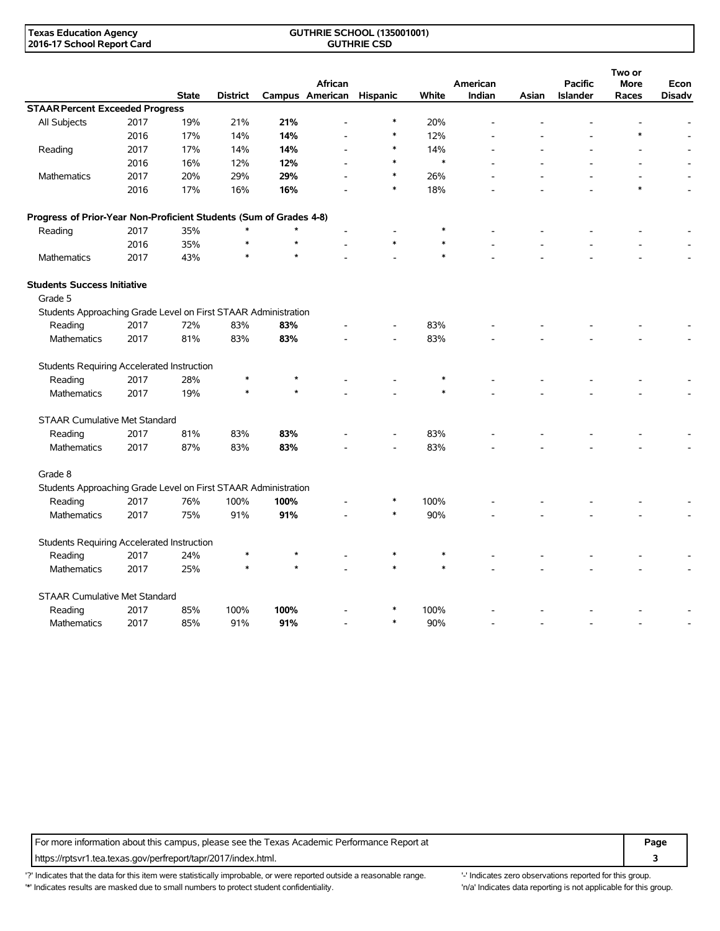#### **GUTHRIE SCHOOL (135001001) GUTHRIE CSD**

|                                                                    |      | <b>State</b> | <b>District</b> |         | African<br>Campus American | Hispanic | White  | American<br>Indian | Asian | <b>Pacific</b><br>Islander | Two or<br><b>More</b><br>Races | Econ<br><b>Disadv</b> |
|--------------------------------------------------------------------|------|--------------|-----------------|---------|----------------------------|----------|--------|--------------------|-------|----------------------------|--------------------------------|-----------------------|
| <b>STAAR Percent Exceeded Progress</b>                             |      |              |                 |         |                            |          |        |                    |       |                            |                                |                       |
| All Subjects                                                       | 2017 | 19%          | 21%             | 21%     |                            | $\ast$   | 20%    |                    |       |                            |                                |                       |
|                                                                    | 2016 | 17%          | 14%             | 14%     |                            | $\ast$   | 12%    |                    |       |                            |                                |                       |
| Reading                                                            | 2017 | 17%          | 14%             | 14%     |                            | *        | 14%    |                    |       |                            |                                |                       |
|                                                                    | 2016 | 16%          | 12%             | 12%     |                            | $\ast$   | $\ast$ |                    |       |                            |                                |                       |
| Mathematics                                                        | 2017 | 20%          | 29%             | 29%     |                            | $\ast$   | 26%    |                    |       |                            |                                |                       |
|                                                                    | 2016 | 17%          | 16%             | 16%     |                            | $\ast$   | 18%    |                    |       |                            | $\ast$                         |                       |
| Progress of Prior-Year Non-Proficient Students (Sum of Grades 4-8) |      |              |                 |         |                            |          |        |                    |       |                            |                                |                       |
| Reading                                                            | 2017 | 35%          | $\ast$          | $\star$ |                            |          | $\ast$ |                    |       |                            |                                |                       |
|                                                                    | 2016 | 35%          | $\ast$          | $\star$ |                            | $\ast$   | $\ast$ |                    |       |                            |                                |                       |
| Mathematics                                                        | 2017 | 43%          | $\ast$          |         |                            |          | $\ast$ |                    |       |                            |                                |                       |
| <b>Students Success Initiative</b><br>Grade 5                      |      |              |                 |         |                            |          |        |                    |       |                            |                                |                       |
| Students Approaching Grade Level on First STAAR Administration     |      |              |                 |         |                            |          |        |                    |       |                            |                                |                       |
| Reading                                                            | 2017 | 72%          | 83%             | 83%     |                            |          | 83%    |                    |       |                            |                                |                       |
| <b>Mathematics</b>                                                 | 2017 | 81%          | 83%             | 83%     |                            |          | 83%    |                    |       |                            |                                |                       |
| Students Requiring Accelerated Instruction                         |      |              |                 |         |                            |          |        |                    |       |                            |                                |                       |
| Reading                                                            | 2017 | 28%          | $\ast$          | $\ast$  |                            |          |        |                    |       |                            |                                |                       |
| <b>Mathematics</b>                                                 | 2017 | 19%          | $\ast$          | $\star$ |                            |          | $\ast$ |                    |       |                            |                                |                       |
| <b>STAAR Cumulative Met Standard</b>                               |      |              |                 |         |                            |          |        |                    |       |                            |                                |                       |
| Reading                                                            | 2017 | 81%          | 83%             | 83%     |                            |          | 83%    |                    |       |                            |                                |                       |
| Mathematics                                                        | 2017 | 87%          | 83%             | 83%     |                            |          | 83%    |                    |       |                            |                                |                       |
| Grade 8                                                            |      |              |                 |         |                            |          |        |                    |       |                            |                                |                       |
| Students Approaching Grade Level on First STAAR Administration     |      |              |                 |         |                            |          |        |                    |       |                            |                                |                       |
| Reading                                                            | 2017 | 76%          | 100%            | 100%    |                            | *        | 100%   |                    |       |                            |                                |                       |
| <b>Mathematics</b>                                                 | 2017 | 75%          | 91%             | 91%     |                            | $\ast$   | 90%    |                    |       |                            |                                |                       |
| Students Requiring Accelerated Instruction                         |      |              |                 |         |                            |          |        |                    |       |                            |                                |                       |
| Reading                                                            | 2017 | 24%          | $\ast$          |         |                            | $\ast$   | $\ast$ |                    |       |                            |                                |                       |
| Mathematics                                                        | 2017 | 25%          | $\ast$          | $\star$ |                            | $\ast$   | $\ast$ |                    |       |                            |                                |                       |
| <b>STAAR Cumulative Met Standard</b>                               |      |              |                 |         |                            |          |        |                    |       |                            |                                |                       |
| Reading                                                            | 2017 | 85%          | 100%            | 100%    |                            |          | 100%   |                    |       |                            |                                |                       |
| Mathematics                                                        | 2017 | 85%          | 91%             | 91%     |                            | $\ast$   | 90%    |                    |       |                            |                                |                       |

For more information about this campus, please see the Texas Academic Performance Report at **Page Page** https://rptsvr1.tea.texas.gov/perfreport/tapr/2017/index.html. **3**

'?' Indicates that the data for this item were statistically improbable, or were reported outside a reasonable range. '' Indicates zero observations reported for this group. '\*' Indicates results are masked due to small numbers to protect student confidentiality. Ma' Indicates data reporting is not applicable for this group.